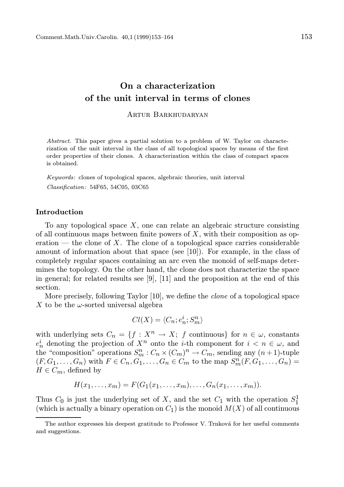# On a characterization of the unit interval in terms of clones

#### Artur Barkhudaryan

Abstract. This paper gives a partial solution to a problem of W. Taylor on characterization of the unit interval in the class of all topological spaces by means of the first order properties of their clones. A characterization within the class of compact spaces is obtained.

Keywords: clones of topological spaces, algebraic theories, unit interval Classification: 54F65, 54C05, 03C65

# Introduction

To any topological space  $X$ , one can relate an algebraic structure consisting of all continuous maps between finite powers of  $X$ , with their composition as operation — the clone of X. The clone of a topological space carries considerable amount of information about that space (see [10]). For example, in the class of completely regular spaces containing an arc even the monoid of self-maps determines the topology. On the other hand, the clone does not characterize the space in general; for related results see [9], [11] and the proposition at the end of this section.

More precisely, following Taylor [10], we define the clone of a topological space X to be the  $\omega$ -sorted universal algebra

$$
Cl(X) = \langle C_n; e_n^i; S_m^n \rangle
$$

with underlying sets  $C_n = \{f : X^n \to X; f \text{ continuous}\}\$ for  $n \in \omega$ , constants  $e_n^i$  denoting the projection of  $X^n$  onto the *i*-th component for  $i < n \in \omega$ , and the "composition" operations  $S_m^n : C_n \times (C_m)^n \to C_m$ , sending any  $(n+1)$ -tuple  $(F, G_1, ..., G_n)$  with  $F \in C_n, G_1, ..., G_n \in C_m$  to the map  $S_m^n(F, G_1, ..., G_n) =$  $H \in C_m$ , defined by

$$
H(x_1,\ldots,x_m)=F(G_1(x_1,\ldots,x_m),\ldots,G_n(x_1,\ldots,x_m)).
$$

Thus  $C_0$  is just the underlying set of X, and the set  $C_1$  with the operation  $S_1^1$ (which is actually a binary operation on  $C_1$ ) is the monoid  $M(X)$  of all continuous

The author expresses his deepest gratitude to Professor V. Trnková for her useful comments and suggestions.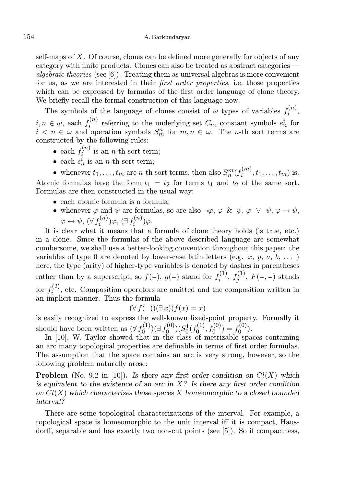self-maps of  $X$ . Of course, clones can be defined more generally for objects of any category with finite products. Clones can also be treated as abstract categories *algebraic theories* (see  $[6]$ ). Treating them as universal algebras is more convenient for us, as we are interested in their first order properties, i.e. those properties which can be expressed by formulas of the first order language of clone theory. We briefly recall the formal construction of this language now.

The symbols of the language of clones consist of  $\omega$  types of variables  $f_i^{(n)}$  $\binom{n}{i}$  $i, n \in \omega$ , each  $f_i^{(n)}$  $e_i^{(n)}$  referring to the underlying set  $C_n$ , constant symbols  $e_n^i$  for  $i < n \in \omega$  and operation symbols  $S_m^n$  for  $m, n \in \omega$ . The n-th sort terms are constructed by the following rules:

- each  $f_i^{(n)}$  $i^{(n)}$  is an *n*-th sort term;
- each  $e_n^i$  is an *n*-th sort term;

• whenever  $t_1, \ldots, t_m$  are *n*-th sort terms, then also  $S_n^m(f_i^{(m)})$  $i^{(m)}$ ,  $t_1, \ldots, t_m$ ) is. Atomic formulas have the form  $t_1 = t_2$  for terms  $t_1$  and  $t_2$  of the same sort. Formulas are then constructed in the usual way:

- each atomic formula is a formula;
- whenever  $\varphi$  and  $\psi$  are formulas, so are also  $\neg \varphi$ ,  $\varphi$  &  $\psi$ ,  $\varphi \vee \psi$ ,  $\varphi \rightarrow \psi$ ,  $\varphi \leftrightarrow \psi$ ,  $(\forall f_i^{(n)}$  $\mathcal{L}_i^{(n)})\varphi$ ,  $(\exists f_i^{(n)})$  $\binom{n}{i}$  $\varphi$ .

It is clear what it means that a formula of clone theory holds (is true, etc.) in a clone. Since the formulas of the above described language are somewhat cumbersome, we shall use a better-looking convention throughout this paper: the variables of type 0 are denoted by lower-case latin letters (e.g.  $x, y, a, b, \ldots$ ) here, the type (arity) of higher-type variables is denoted by dashes in parentheses rather than by a superscript, so  $f(-)$ ,  $g(-)$  stand for  $f_i^{(1)}$  $f_j^{(1)},\,f_j^{(1)}$  $j^{(1)}$ ,  $F(-,-)$  stands for  $f_i^{(2)}$  $i^{(2)}$ , etc. Composition operators are omitted and the composition written in an implicit manner. Thus the formula

$$
(\forall f(-))(\exists x)(f(x) = x)
$$

is easily recognized to express the well-known fixed-point property. Formally it should have been written as  $(\forall f_0^{(1)})$  $f_0^{(1)}) (\exists f_0^{(0)}$  $(g_0^{(0)}) (S_0^1(f_0^{(1)})$  $f_0^{(1)}, f_0^{(0)} = f_0^{(0)}$  $\binom{0}{0}$ .

In [10], W. Taylor showed that in the class of metrizable spaces containing an arc many topological properties are definable in terms of first order formulas. The assumption that the space contains an arc is very strong, however, so the following problem naturally arose:

**Problem** (No. 9.2 in [10]). Is there any first order condition on  $Cl(X)$  which is equivalent to the existence of an arc in  $X$ ? Is there any first order condition on  $Cl(X)$  which characterizes those spaces X homeomorphic to a closed bounded interval?

There are some topological characterizations of the interval. For example, a topological space is homeomorphic to the unit interval iff it is compact, Hausdorff, separable and has exactly two non-cut points (see [5]). So if compactness,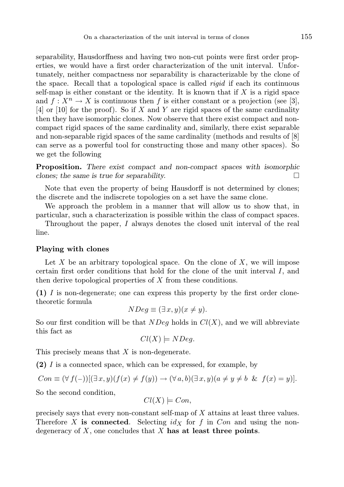separability, Hausdorffness and having two non-cut points were first order properties, we would have a first order characterization of the unit interval. Unfortunately, neither compactness nor separability is characterizable by the clone of the space. Recall that a topological space is called rigid if each its continuous self-map is either constant or the identity. It is known that if  $X$  is a rigid space and  $f: X^n \to X$  is continuous then f is either constant or a projection (see [3],  $[4]$  or  $[10]$  for the proof). So if X and Y are rigid spaces of the same cardinality then they have isomorphic clones. Now observe that there exist compact and noncompact rigid spaces of the same cardinality and, similarly, there exist separable and non-separable rigid spaces of the same cardinality (methods and results of [8] can serve as a powerful tool for constructing those and many other spaces). So we get the following

Proposition. There exist compact and non-compact spaces with isomorphic clones; the same is true for separability.  $\Box$ 

Note that even the property of being Hausdorff is not determined by clones; the discrete and the indiscrete topologies on a set have the same clone.

We approach the problem in a manner that will allow us to show that, in particular, such a characterization is possible within the class of compact spaces.

Throughout the paper, I always denotes the closed unit interval of the real line.

#### Playing with clones

Let  $X$  be an arbitrary topological space. On the clone of  $X$ , we will impose certain first order conditions that hold for the clone of the unit interval I, and then derive topological properties of X from these conditions.

(1) I is non-degenerate; one can express this property by the first order clonetheoretic formula

$$
NDeg \equiv (\exists x, y)(x \neq y).
$$

So our first condition will be that  $NDeq$  holds in  $Cl(X)$ , and we will abbreviate this fact as

$$
Cl(X) \models NDeg.
$$

This precisely means that X is non-degenerate.

(2) I is a connected space, which can be expressed, for example, by

$$
Con \equiv (\forall f(-))[(\exists x, y)(f(x) \neq f(y)) \rightarrow (\forall a, b)(\exists x, y)(a \neq y \neq b \& f(x) = y)].
$$

So the second condition,

$$
Cl(X) \models Con,
$$

precisely says that every non-constant self-map of X attains at least three values. Therefore X is connected. Selecting  $id<sub>X</sub>$  for f in Con and using the nondegeneracy of  $X$ , one concludes that  $X$  has at least three points.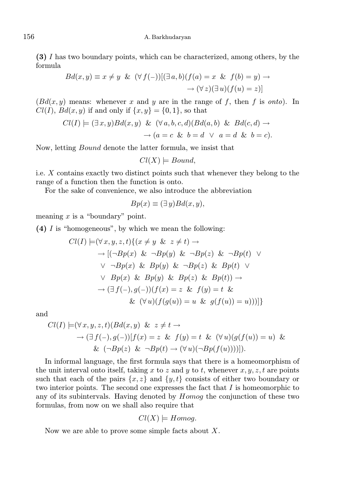# 156 A. Barkhudaryan

(3) I has two boundary points, which can be characterized, among others, by the formula

$$
Bd(x,y) \equiv x \neq y \& (\forall f(-))[(\exists a,b)(f(a) = x \& f(b) = y) \rightarrow \rightarrow (\forall z)(\exists u)(f(u) = z)]
$$

 $(Bd(x, y)$  means: whenever x and y are in the range of f, then f is onto). In  $Cl(I), Bd(x, y)$  if and only if  $\{x, y\} = \{0, 1\}$ , so that

$$
Cl(I) \models (\exists x, y) Bd(x, y) \& (\forall a, b, c, d) (Bd(a, b) \& Bd(c, d) \rightarrow
$$
  

$$
\rightarrow (a = c \& b = d \lor a = d \& b = c).
$$

Now, letting Bound denote the latter formula, we insist that

$$
Cl(X) \models Bound,
$$

i.e. X contains exactly two distinct points such that whenever they belong to the range of a function then the function is onto.

For the sake of convenience, we also introduce the abbreviation

$$
Bp(x) \equiv (\exists y)Bd(x, y),
$$

meaning  $x$  is a "boundary" point.

(4) I is "homogeneous", by which we mean the following:

$$
Cl(I) \models (\forall x, y, z, t) \{ (x \neq y \& z \neq t) \rightarrow
$$
  
\n
$$
\rightarrow [(\neg Bp(x) \& \neg Bp(y) \& \neg Bp(z) \& \neg Bp(t) \lor
$$
  
\n
$$
\lor \neg Bp(x) \& Bp(y) \& \neg Bp(z) \& Bp(t) \lor
$$
  
\n
$$
\lor Bp(x) \& Bp(y) \& Bp(z) \& Bp(t)) \rightarrow
$$
  
\n
$$
\rightarrow (\exists f(-), g(-))(f(x) = z \& f(y) = t \&
$$
  
\n
$$
\& (\forall u)(f(g(u)) = u \& g(f(u)) = u)))]
$$

and

$$
Cl(I) \models (\forall x, y, z, t) (Bd(x, y) \& z \neq t \rightarrow
$$
  
\n
$$
\rightarrow (\exists f(-), g(-)) [f(x) = z \& f(y) = t \& (\forall u) (g(f(u)) = u) \&
$$
  
\n
$$
\& (-Bp(z) \& \neg Bp(t) \rightarrow (\forall u)(\neg Bp(f(u))))]) .
$$

In informal language, the first formula says that there is a homeomorphism of the unit interval onto itself, taking x to z and y to t, whenever  $x, y, z, t$  are points such that each of the pairs  $\{x, z\}$  and  $\{y, t\}$  consists of either two boundary or two interior points. The second one expresses the fact that  $I$  is homeomorphic to any of its subintervals. Having denoted by Homog the conjunction of these two formulas, from now on we shall also require that

$$
Cl(X) \models Homog.
$$

Now we are able to prove some simple facts about  $X$ .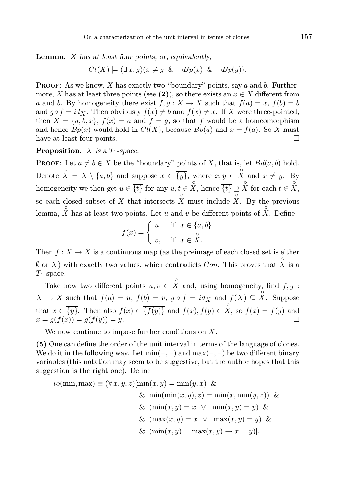**Lemma.**  $X$  has at least four points, or, equivalently,

$$
Cl(X) \models (\exists x, y)(x \neq y \& \neg Bp(x) \& \neg Bp(y)).
$$

**PROOF:** As we know, X has exactly two "boundary" points, say a and b. Furthermore, X has at least three points (see (2)), so there exists an  $x \in X$  different from a and b. By homogeneity there exist  $f, g: X \to X$  such that  $f(a) = x, f(b) = b$ and  $g \circ f = id_X$ . Then obviously  $f(x) \neq b$  and  $f(x) \neq x$ . If X were three-pointed, then  $X = \{a, b, x\}$ ,  $f(x) = a$  and  $f = g$ , so that f would be a homeomorphism and hence  $Bp(x)$  would hold in  $Cl(X)$ , because  $Bp(a)$  and  $x = f(a)$ . So X must have at least four points.

**Proposition.** X is a  $T_1$ -space.

PROOF: Let  $a \neq b \in X$  be the "boundary" points of X, that is, let  $Bd(a, b)$  hold. Denote ◦  $X = X \setminus \{a, b\}$  and suppose  $x \in \{y\}$ , where  $x, y \in$ ◦ X and  $x \neq y$ . By homogeneity we then get  $u \in \{t\}$  for any  $u, t \in$ ◦ X, hence  $\{t\} \supseteq$ ◦ X for each  $t \in$ ◦  $X,$ so each closed subset of  $X$  that intersects ◦ X must include ◦ X. By the previous lemma, ◦  $X$  has at least two points. Let  $u$  and  $v$  be different points of ◦ X. Define

$$
f(x) = \begin{cases} u, & \text{if } x \in \{a, b\} \\ v, & \text{if } x \in \overset{\circ}{X}. \end{cases}
$$

Then  $f: X \to X$  is a continuous map (as the preimage of each closed set is either  $\emptyset$  or X) with exactly two values, which contradicts Con. This proves that ◦  $X$  is a  $T_1$ -space. ◦

Take now two different points  $u, v \in$ X and, using homogeneity, find  $f, g$ :  $X \to X$  such that  $f(a) = u$ ,  $f(b) = v$ ,  $g \circ f = id_X$  and  $f(X) \subseteq$ ◦ X. Suppose that  $x \in \{y\}$ . Then also  $f(x) \in \{f(y)\}\$ and  $f(x), f(y) \in$ ◦ X, so  $f(x) = f(y)$  and  $x = g(f(x)) = g(f(y)) = y.$ 

We now continue to impose further conditions on  $X$ .

(5) One can define the order of the unit interval in terms of the language of clones. We do it in the following way. Let  $min(-,-)$  and  $max(-,-)$  be two different binary variables (this notation may seem to be suggestive, but the author hopes that this suggestion is the right one). Define

$$
lo(\min, \max) \equiv (\forall x, y, z)[\min(x, y) = \min(y, x) \&&\min(\min(x, y), z) = \min(x, \min(y, z)) \&&\&\left(\max(x, y) = x \lor \max(x, y) = y\right) \&
$$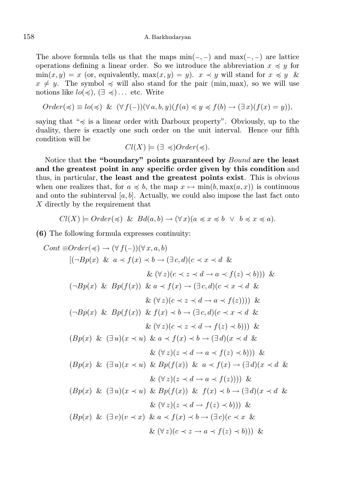The above formula tells us that the maps  $\min(-,-)$  and  $\max(-,-)$  are lattice operations defining a linear order. So we introduce the abbreviation  $x \preccurlyeq y$  for  $\min(x, y) = x$  (or, equivalently,  $\max(x, y) = y$ ).  $x \prec y$  will stand for  $x \preccurlyeq y$  &  $x \neq y$ . The symbol  $\preccurlyeq$  will also stand for the pair (min, max), so we will use notions like  $lo(\preccurlyeq), (\exists \preccurlyeq) \dots$  etc. Write

$$
Order(\preccurlyeq) \equiv lo(\preccurlyeq) \& (\forall f(-))(\forall a, b, y)(f(a) \preccurlyeq y \preccurlyeq f(b) \rightarrow (\exists x)(f(x) = y)),
$$

saying that " $\leq$  is a linear order with Darboux property". Obviously, up to the duality, there is exactly one such order on the unit interval. Hence our fifth condition will be

$$
Cl(X) \models (\exists \preccurlyeq) Order(\preccurlyeq).
$$

Notice that the "boundary" points guaranteed by *Bound* are the least and the greatest point in any specific order given by this condition and thus, in particular, the least and the greatest points exist. This is obvious when one realizes that, for  $a \preccurlyeq b$ , the map  $x \mapsto \min(b, \max(a, x))$  is continuous and onto the subinterval  $[a, b]$ . Actually, we could also impose the last fact onto X directly by the requirement that

$$
Cl(X) \models Order(\preccurlyeq) \& Bd(a,b) \rightarrow (\forall x)(a \preccurlyeq x \preccurlyeq b \lor b \preccurlyeq x \preccurlyeq a).
$$

(6) The following formula expresses continuity:

$$
Cont ≡ Order(\preccurlyeq) \rightarrow (\forall f(-))(\forall x, a, b)
$$
  
\n
$$
[(\neg Bp(x) \& a \prec f(x) \prec b \rightarrow (\exists c, d)(c \prec x \prec d \& \& (\forall z)(c \prec z \prec d \rightarrow a \prec f(z) \prec b))) \& (\neg Bp(x) \& Bp(f(x)) \& a \prec f(x) \rightarrow (\exists c, d)(c \prec x \prec d \& \& (\forall z)(c \prec z \prec d \rightarrow a \prec f(z)))) \& (\neg Bp(x) \& Bp(f(x)) \& f(x) \prec b \rightarrow (\exists c, d)(c \prec x \prec d \& \& (\forall z)(c \prec z \prec d \rightarrow f(z) \prec b))) \& (\exists p(x) \& (\exists u)(x \prec u) \& a \prec f(x) \prec b \rightarrow (\exists d)(x \prec d \& \& (\forall z)(z \prec d \rightarrow a \prec f(z) \prec b))) \& (\exists p(x) \& (\exists u)(x \prec u) \& Bp(f(x)) \& a \prec f(x) \rightarrow (\exists d)(x \prec d \& \& (\forall z)(z \prec d \rightarrow a \prec f(z)))) \& (\exists p(x) \& (\exists u)(x \prec u) \& Bp(f(x)) \& f(x) \prec b \rightarrow (\exists d)(x \prec d \& \& (\forall z)(z \prec d \rightarrow a \prec f(z)))) \& (\exists p(x) \& (\exists u)(x \prec u) \& Bp(f(x)) \& f(x) \prec b \rightarrow (\exists d)(x \prec d \& \& (\forall z)(z \prec d \rightarrow f(z) \prec b))) \& (\exists p(x) \& (\exists v)(v \prec x) \& a \prec f(x) \prec b \rightarrow (\exists c)(c \prec x \& \& (\forall z)(c \prec z \rightarrow a \prec f(z) \prec b))) \& (\exists p(x) \& (\exists v)(x \prec x) \& a \prec f(x) \prec b \rightarrow (\exists c)(c \prec x \& \& (\forall z)(c \prec z \rightarrow a \prec f(z) \prec b))) \& (\exists p(x) \& (\exists b)(x \prec x) \& b \prec (x \prec b \prec b \prec b \prec b \prec b \prec b \prec b \prec b \prec b \prec b \prec b \prec b
$$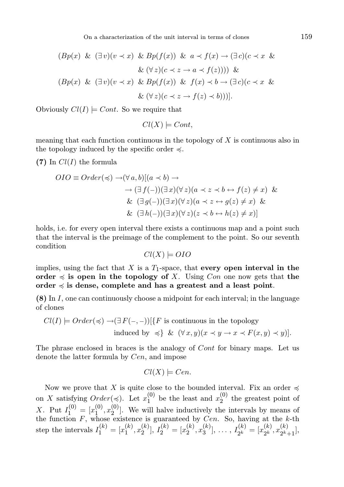On a characterization of the unit interval in terms of clones 159

$$
(Bp(x) \& (\exists v)(v \prec x) \& Bp(f(x)) \& a \prec f(x) \rightarrow (\exists c)(c \prec x \& (c \prec x) \& (c \prec x) \& (c \prec x) \& (c \prec x) \& (c \prec x) \& (c \prec x) \& (c \prec x) \& (c \prec x) \& (c \prec x) \& (c \prec x) \& (c \prec x) \& (c \prec x) \& (c \prec x) \& (c \prec x) \& (c \prec x) \& (c \prec x) \& (c \prec x) \& (c \prec x) \& (c \prec x) \& (c \prec x) \& (c \prec x) \& (c \prec x) \& (c \prec x) \& (c \prec x) \& (c \prec x) \& (c \prec x) \& (c \prec x) \& (c \prec x) \& (c \prec x) \& (c \prec x) \& (c \prec x) \& (c \prec x) \& (c \prec x) \& (c \prec x) \& (c \prec x) \& (c \prec x) \& (c \prec x) \& (c \prec x) \& (c \prec x) \& (c \prec x) \& (c \prec x) \& (c \prec x) \& (c \prec x) \& (c \prec x) \& (c \prec x) \& (c \prec x) \& (c \prec x) \& (c \prec x) \& (c \prec x) \& (c \prec x) \& (c \prec x) \& (c \prec x) \& (c \prec x) \& (c \prec x) \& (c \prec x) \& (c \prec x) \& (c \prec x) \& (c \prec x) \& (c \prec x) \& (c \prec x) \& (c \prec x) \& (c \prec x) \& (c \prec x) \& (c \prec x) \& (c \prec x) \& (c \prec x) \& (c \prec x) \& (c \prec x) \& (c \prec x) \& (c \prec x) \& (c \prec x) \& (c \prec x) \& (c \prec x) \& (c \prec x) \& (c \prec x) \& (c \prec x) \& (c \prec x) \& (c \prec x) \& (c \prec x) \& (c \prec x) \& (c \prec x) \& (c \prec x) \& (c \prec x) \& (c \prec x) \& (c \prec x) \& (c \prec x) \& (c \prec x) \& (c \prec x) \& (c \prec x) \& (c \prec x
$$

Obviously  $Cl(I) \models Cont$ . So we require that

$$
Cl(X) \models Cont,
$$

meaning that each function continuous in the topology of  $X$  is continuous also in the topology induced by the specific order  $\preccurlyeq$ .

(7) In  $Cl(I)$  the formula

$$
OIO \equiv Order(\preccurlyeq) \rightarrow (\forall a, b)[(a \prec b) \rightarrow
$$
  
\n
$$
\rightarrow (\exists f(-))(\exists x)(\forall z)(a \prec z \prec b \leftrightarrow f(z) \neq x) \&
$$
  
\n&  $(\exists g(-))(\exists x)(\forall z)(a \prec z \leftrightarrow g(z) \neq x) \&$   
\n&  $(\exists h(-))(\exists x)(\forall z)(z \prec b \leftrightarrow h(z) \neq x)]$ 

holds, i.e. for every open interval there exists a continuous map and a point such that the interval is the preimage of the complement to the point. So our seventh condition

$$
Cl(X) \models OIO
$$

implies, using the fact that X is a  $T_1$ -space, that every open interval in the order  $\preccurlyeq$  is open in the topology of X. Using Con one now gets that the order  $\leq$  is dense, complete and has a greatest and a least point.

(8) In I, one can continuously choose a midpoint for each interval; in the language of clones

$$
Cl(I) \models Order(\preccurlyeq) \rightarrow (\exists F(-, -))[\{F \text{ is continuous in the topology}
$$
  
induced by  $\preccurlyeq\}$  &  $(\forall x, y)(x \prec y \rightarrow x \prec F(x, y) \prec y)].$ 

The phrase enclosed in braces is the analogy of Cont for binary maps. Let us denote the latter formula by Cen, and impose

$$
Cl(X) \models Cen.
$$

Now we prove that X is quite close to the bounded interval. Fix an order  $\preccurlyeq$ on X satisfying  $Order(\preccurlyeq)$ . Let  $x_1^{(0)}$  $_1^{(0)}$  be the least and  $x_2^{(0)}$  $2^{(0)}$  the greatest point of X. Put  $I_1^{(0)} = [x_1^{(0)}]$  $\binom{0}{1}, x_2^{(0)}$  $2^{\binom{0}{2}}$ . We will halve inductively the intervals by means of the function  $F$ , whose existence is guaranteed by  $Cen$ . So, having at the k-th step the intervals  $I_1^{(k)} = [x_1^{(k)}]$  $\binom{k}{1}, x_2^{(k)}$  $\binom{k}{2}, I_2^{(k)} = [x_2^{(k)}]$  $_{2}^{(k)},x_{3}^{(k)}$  $\binom{k}{3}, \ldots, I_{2^k}^{(k)}$  $x_2^{(k)} = [x_2^{(k)}]$  $_{2^{k}}^{(k)},x_{2^{k}}^{(k)}$  $\binom{N}{2^k+1},$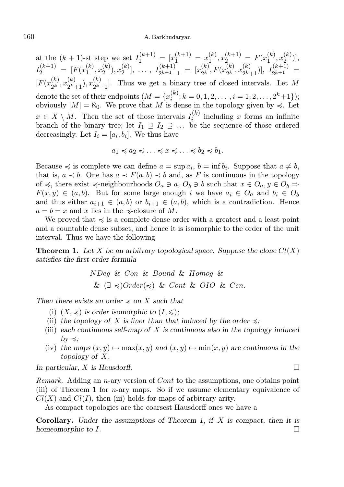# 160 A. Barkhudaryan

at the  $(k + 1)$ -st step we set  $I_1^{(k+1)} = [x_1^{(k+1)} = x_1^{(k)}]$  $T_1^{(k)}, x_2^{(k+1)} = F(x_1^{(k)})$  $\binom{k}{1}, x_2^{(k)}$  $\binom{N}{2}$ ,  $I_2^{(k+1)} = [F(x_1^{(k)})]$  $\binom{k}{1}, x_2^{(k)}$  $\binom{k}{2}, x_2^{(k)}$  $\binom{k}{2}, \ldots, I_{2^{k+1}-1}^{(k+1)}$  $x_{2^{k+1}-1}^{(k+1)} = [x_{2^k}^{(k)}]$  $x_2^{(k)}, F(x_2^{(k)})$  $x_{2^k}^{(k)}, x_{2^k}^{(k)}$  $\binom{k}{2^k+1}$ ,  $I_{2^{k+1}}^{(k+1)}$  $2^{k+1}$  =  $[F(x_{\alpha k}^{(k)})]$  $_{2^{k}}^{(k)},x_{2^{k}}^{(k)}$  $\binom{k}{2^k+1}$ ,  $x_{2^k-1}^{(k)}$  $\binom{N}{2^k+1}$ . Thus we get a binary tree of closed intervals. Let M denote the set of their endpoints  $(M = \{x_i^{(k)}\})$  $\binom{k}{i}; k = 0, 1, 2, \ldots, i = 1, 2, \ldots, 2^{k}+1$ ; obviously  $|M| = \aleph_0$ . We prove that M is dense in the topology given by  $\preccurlyeq$ . Let  $x \in X \setminus M$ . Then the set of those intervals  $I_i^{(k)}$  $i^{(k)}$  including x forms an infinite branch of the binary tree; let  $I_1 \supseteq I_2 \supseteq \ldots$  be the sequence of those ordered decreasingly. Let  $I_i = [a_i, b_i]$ . We thus have

$$
a_1 \preccurlyeq a_2 \preccurlyeq \ldots \preccurlyeq x \preccurlyeq \ldots \preccurlyeq b_2 \preccurlyeq b_1.
$$

Because  $\preccurlyeq$  is complete we can define  $a = \sup a_i$ ,  $b = \inf b_i$ . Suppose that  $a \neq b$ , that is,  $a \prec b$ . One has  $a \prec F(a, b) \prec b$  and, as F is continuous in the topology of  $\preccurlyeq$ , there exist  $\preccurlyeq$ -neighbourhoods  $O_a \ni a, O_b \ni b$  such that  $x \in O_a, y \in O_b \Rightarrow$  $F(x, y) \in (a, b)$ . But for some large enough i we have  $a_i \in O_a$  and  $b_i \in O_b$ and thus either  $a_{i+1} \in (a, b)$  or  $b_{i+1} \in (a, b)$ , which is a contradiction. Hence  $a = b = x$  and x lies in the  $\preccurlyeq$ -closure of M.

We proved that  $\leq$  is a complete dense order with a greatest and a least point and a countable dense subset, and hence it is isomorphic to the order of the unit interval. Thus we have the following

**Theorem 1.** Let X be an arbitrary topological space. Suppose the clone  $Cl(X)$ satisfies the first order formula

$$
NDeg \& Con \& Bound \& Homog \&
$$
  

$$
\& (\exists \preccurlyeq) Order(\preccurlyeq) \& Cont \& OIO \& Cen.
$$

Then there exists an order  $\preccurlyeq$  on X such that

- (i)  $(X, \preccurlyeq)$  is order isomorphic to  $(I, \preccurlyeq)$ ;
- (ii) the topology of X is finer than that induced by the order  $\preccurlyeq$ ;
- (iii) each continuous self-map of  $X$  is continuous also in the topology induced  $by \leq$ ;
- (iv) the maps  $(x, y) \mapsto \max(x, y)$  and  $(x, y) \mapsto \min(x, y)$  are continuous in the topology of X.

In particular, X is Hausdorff.  $\square$ 

Remark. Adding an n-ary version of Cont to the assumptions, one obtains point (iii) of Theorem 1 for n-ary maps. So if we assume elementary equivalence of  $Cl(X)$  and  $Cl(I)$ , then (iii) holds for maps of arbitrary arity.

As compact topologies are the coarsest Hausdorff ones we have a

**Corollary.** Under the assumptions of Theorem 1, if  $X$  is compact, then it is homeomorphic to  $I$ .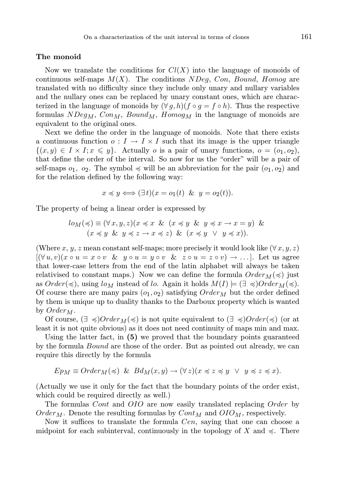# The monoid

Now we translate the conditions for  $Cl(X)$  into the language of monoids of continuous self-maps  $M(X)$ . The conditions  $NDeg$ , Con, Bound, Homog are translated with no difficulty since they include only unary and nullary variables and the nullary ones can be replaced by unary constant ones, which are characterized in the language of monoids by  $(\forall q, h)(f \circ q = f \circ h)$ . Thus the respective formulas  $NDeg_M$ ,  $Con_M$ ,  $Bound_M$ ,  $Homog_M$  in the language of monoids are equivalent to the original ones.

Next we define the order in the language of monoids. Note that there exists a continuous function  $o: I \to I \times I$  such that its image is the upper triangle  $\{(x, y) \in I \times I; x \leq y\}.$  Actually *o* is a pair of unary functions,  $o = (o_1, o_2),$ that define the order of the interval. So now for us the "order" will be a pair of self-maps  $o_1$ ,  $o_2$ . The symbol  $\preccurlyeq$  will be an abbreviation for the pair  $(o_1, o_2)$  and for the relation defined by the following way:

$$
x \preccurlyeq y \Longleftrightarrow (\exists t)(x = o_1(t) \& y = o_2(t)).
$$

The property of being a linear order is expressed by

$$
lo_M(\preccurlyeq) \equiv (\forall x, y, z)(x \preccurlyeq x \& (x \preccurlyeq y \& y \preccurlyeq x \rightarrow x = y) \& (x \preccurlyeq y \& y \preccurlyeq z \rightarrow x \preccurlyeq z) \& (x \preccurlyeq y \vee y \preccurlyeq x)).
$$

(Where x, y, z mean constant self-maps; more precisely it would look like  $(\forall x, y, z)$ )  $[(\forall u, v)(x \circ u = x \circ v \& y \circ u = y \circ v \& z \circ u = z \circ v) \rightarrow \dots].$  Let us agree that lower-case letters from the end of the latin alphabet will always be taken relativised to constant maps.) Now we can define the formula  $Order_M (\preccurlyeq)$  just as  $Order(\preccurlyeq)$ , using  $log_{M}$  instead of lo. Again it holds  $M(I) \models (\exists \preccurlyeq) Order_{M}(\preccurlyeq)$ . Of course there are many pairs  $(o_1, o_2)$  satisfying  $Order_M$  but the order defined by them is unique up to duality thanks to the Darboux property which is wanted by  $Order_M$ .

Of course,  $(\exists \preccurlyeq)Order_M(\preccurlyeq)$  is not quite equivalent to  $(\exists \preccurlyeq)Order(\preccurlyeq)$  (or at least it is not quite obvious) as it does not need continuity of maps min and max.

Using the latter fact, in (5) we proved that the boundary points guaranteed by the formula Bound are those of the order. But as pointed out already, we can require this directly by the formula

$$
E p_M \equiv Order_M(\preccurlyeq) \& B d_M(x, y) \rightarrow (\forall z)(x \preccurlyeq z \preccurlyeq y \ \vee \ y \preccurlyeq z \preccurlyeq x).
$$

(Actually we use it only for the fact that the boundary points of the order exist, which could be required directly as well.)

The formulas Cont and OIO are now easily translated replacing Order by  $Order_M$ . Denote the resulting formulas by  $Cont_M$  and  $OIO_M$ , respectively.

Now it suffices to translate the formula *Cen*, saying that one can choose a midpoint for each subinterval, continuously in the topology of X and  $\preccurlyeq$ . There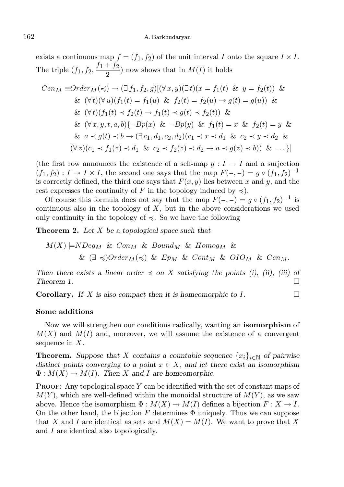exists a continuous map  $f = (f_1, f_2)$  of the unit interval I onto the square  $I \times I$ . The triple  $(f_1, f_2, \frac{f_1 + f_2}{2})$  $\left(\frac{1}{2}\right)^2$  now shows that in  $M(I)$  it holds

$$
Cen_M \equiv Order_M(\preccurlyeq) \rightarrow (\exists f_1, f_2, g)[(\forall x, y)(\exists t)(x = f_1(t) \& y = f_2(t)) \& \\
&\& (\forall t)(\forall u)(f_1(t) = f_1(u) \& f_2(t) = f_2(u) \rightarrow g(t) = g(u)) \& \\
&\& (\forall t)(f_1(t) \prec f_2(t) \rightarrow f_1(t) \prec g(t) \prec f_2(t)) \& \\
&\& (\forall x, y, t, a, b)\{\neg Bp(x) \& \neg Bp(y) \& f_1(t) = x \& f_2(t) = y \& \\
&\& a \prec g(t) \prec b \rightarrow (\exists c_1, d_1, c_2, d_2)(c_1 \prec x \prec d_1 \& c_2 \prec y \prec d_2 \& \\
& (\forall z)(c_1 \prec f_1(z) \prec d_1 \& c_2 \prec f_2(z) \prec d_2 \rightarrow a \prec g(z) \prec b)) \& \dots \}
$$

(the first row announces the existence of a self-map  $g: I \to I$  and a surjection  $(f_1, f_2): I \twoheadrightarrow I \times I$ , the second one says that the map  $F(-, -) = g \circ (f_1, f_2)^{-1}$ is correctly defined, the third one says that  $F(x, y)$  lies between x and y, and the rest expresses the continuity of F in the topology induced by  $\preccurlyeq$ ).

Of course this formula does not say that the map  $F(-, -) = g \circ (f_1, f_2)^{-1}$  is continuous also in the topology of  $X$ , but in the above considerations we used only continuity in the topology of  $\leq$ . So we have the following

**Theorem 2.** Let  $X$  be a topological space such that

$$
M(X) \models NDeg_M \& Con_M \& Bound_M \& Homog_M \&
$$
  

$$
\& (\exists \preccurlyeq) Order_M(\preccurlyeq) \& Ep_M \& Cont_M \& OIO_M \& Cen_M.
$$

Then there exists a linear order  $\preccurlyeq$  on X satisfying the points (i), (ii), (iii) of Theorem 1.

**Corollary.** If X is also compact then it is homeomorphic to  $I$ .

#### Some additions

Now we will strengthen our conditions radically, wanting an **isomorphism** of  $M(X)$  and  $M(I)$  and, moreover, we will assume the existence of a convergent sequence in  $X$ .

**Theorem.** Suppose that X contains a countable sequence  $\{x_i\}_{i\in\mathbb{N}}$  of pairwise distinct points converging to a point  $x \in X$ , and let there exist an isomorphism  $\Phi: M(X) \to M(I)$ . Then X and I are homeomorphic.

PROOF: Any topological space Y can be identified with the set of constant maps of  $M(Y)$ , which are well-defined within the monoidal structure of  $M(Y)$ , as we saw above. Hence the isomorphism  $\Phi: M(X) \to M(I)$  defines a bijection  $F: X \to I$ . On the other hand, the bijection  $F$  determines  $\Phi$  uniquely. Thus we can suppose that X and I are identical as sets and  $M(X) = M(I)$ . We want to prove that X and I are identical also topologically.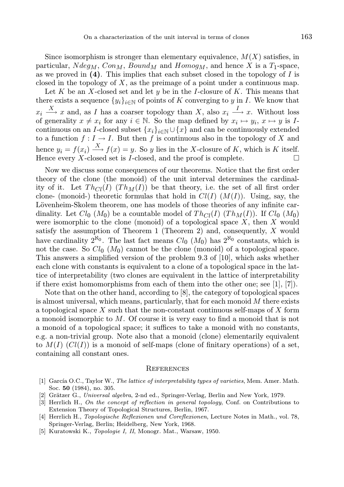Since isomorphism is stronger than elementary equivalence,  $M(X)$  satisfies, in particular,  $Ndeg_M$ ,  $Con_M$ ,  $Bound_M$  and  $Homog_M$ , and hence X is a  $T_1$ -space, as we proved in  $(4)$ . This implies that each subset closed in the topology of I is closed in the topology of  $X$ , as the preimage of a point under a continuous map.

Let K be an X-closed set and let y be in the I-closure of K. This means that there exists a sequence  $\{y_i\}_{i\in\mathbb{N}}$  of points of K converging to y in I. We know that  $x_i \stackrel{X}{\longrightarrow} x$  and, as *I* has a coarser topology than *X*, also  $x_i \stackrel{I}{\longrightarrow} x$ . Without loss of generality  $x \neq x_i$  for any  $i \in \mathbb{N}$ . So the map defined by  $x_i \mapsto y_i$ ,  $x \mapsto y$  is Icontinuous on an I-closed subset  ${x_i}_{i \in \mathbb{N}} \cup {x}$  and can be continuously extended to a function  $f: I \to I$ . But then f is continuous also in the topology of X and hence  $y_i = f(x_i) \stackrel{X}{\longrightarrow} f(x) = y$ . So y lies in the X-closure of K, which is K itself. Hence every X-closed set is *I*-closed, and the proof is complete.  $\Box$ 

Now we discuss some consequences of our theorems. Notice that the first order theory of the clone (the monoid) of the unit interval determines the cardinality of it. Let  $Th_{Cl}(I)$   $(Th_M(I))$  be that theory, i.e. the set of all first order clone- (monoid-) theoretic formulas that hold in  $Cl(I)$   $(M(I))$ . Using, say, the Lövenheim-Skolem theorem, one has models of those theories of any infinite cardinality. Let  $Cl_0(M_0)$  be a countable model of  $Th_{Cl}(I)$  (Th<sub>M</sub>(I)). If  $Cl_0(M_0)$ were isomorphic to the clone (monoid) of a topological space  $X$ , then  $X$  would satisfy the assumption of Theorem 1 (Theorem 2) and, consequently,  $X$  would have cardinality  $2^{\aleph_0}$ . The last fact means  $Cl_0(M_0)$  has  $2^{\aleph_0}$  constants, which is not the case. So  $Cl_0$  ( $M_0$ ) cannot be the clone (monoid) of a topological space. This answers a simplified version of the problem 9.3 of [10], which asks whether each clone with constants is equivalent to a clone of a topological space in the lattice of interpretability (two clones are equivalent in the lattice of interpretability if there exist homomorphisms from each of them into the other one; see  $[1], [7]$ .

Note that on the other hand, according to [8], the category of topological spaces is almost universal, which means, particularly, that for each monoid  $M$  there exists a topological space X such that the non-constant continuous self-maps of X form a monoid isomorphic to M. Of course it is very easy to find a monoid that is not a monoid of a topological space; it suffices to take a monoid with no constants, e.g. a non-trivial group. Note also that a monoid (clone) elementarily equivalent to  $M(I)$   $(Cl(I))$  is a monoid of self-maps (clone of finitary operations) of a set, containing all constant ones.

#### **REFERENCES**

- [1] García O.C., Taylor W., The lattice of interpretability types of varieties, Mem. Amer. Math. Soc. 50 (1984), no. 305.
- [2] Grätzer G., Universal algebra, 2-nd ed., Springer-Verlag, Berlin and New York, 1979.
- [3] Herrlich H., On the concept of reflection in general topology, Conf. on Contributions to Extension Theory of Topological Structures, Berlin, 1967.
- [4] Herrlich H., Topologische Reflexionen und Coreflexionen, Lecture Notes in Math., vol. 78, Springer-Verlag, Berlin; Heidelberg, New York, 1968.
- [5] Kuratowski K., Topologie I, II, Monogr. Mat., Warsaw, 1950.